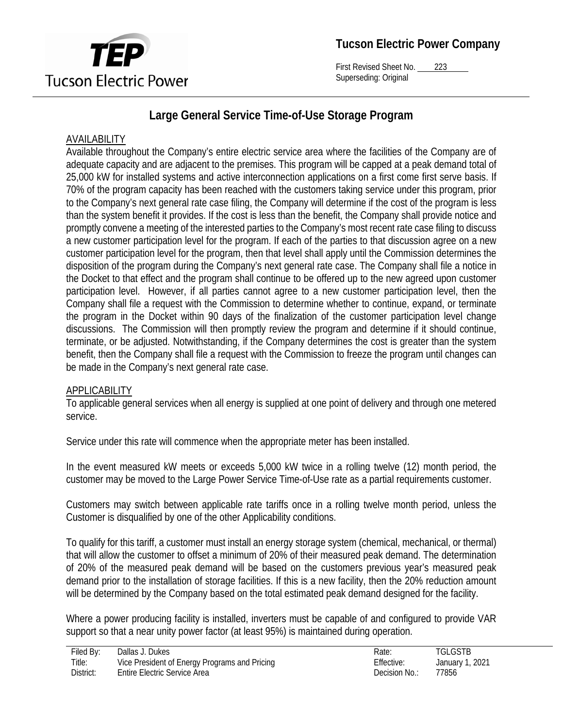

First Revised Sheet No. 223 Superseding: Original

# **Large General Service Time-of-Use Storage Program**

# AVAILABILITY

Available throughout the Company's entire electric service area where the facilities of the Company are of adequate capacity and are adjacent to the premises. This program will be capped at a peak demand total of 25,000 kW for installed systems and active interconnection applications on a first come first serve basis. If 70% of the program capacity has been reached with the customers taking service under this program, prior to the Company's next general rate case filing, the Company will determine if the cost of the program is less than the system benefit it provides. If the cost is less than the benefit, the Company shall provide notice and promptly convene a meeting of the interested parties to the Company's most recent rate case filing to discuss a new customer participation level for the program. If each of the parties to that discussion agree on a new customer participation level for the program, then that level shall apply until the Commission determines the disposition of the program during the Company's next general rate case. The Company shall file a notice in the Docket to that effect and the program shall continue to be offered up to the new agreed upon customer participation level. However, if all parties cannot agree to a new customer participation level, then the Company shall file a request with the Commission to determine whether to continue, expand, or terminate the program in the Docket within 90 days of the finalization of the customer participation level change discussions. The Commission will then promptly review the program and determine if it should continue, terminate, or be adjusted. Notwithstanding, if the Company determines the cost is greater than the system benefit, then the Company shall file a request with the Commission to freeze the program until changes can be made in the Company's next general rate case.

## APPLICABILITY

To applicable general services when all energy is supplied at one point of delivery and through one metered service.

Service under this rate will commence when the appropriate meter has been installed.

In the event measured kW meets or exceeds 5,000 kW twice in a rolling twelve (12) month period, the customer may be moved to the Large Power Service Time-of-Use rate as a partial requirements customer.

Customers may switch between applicable rate tariffs once in a rolling twelve month period, unless the Customer is disqualified by one of the other Applicability conditions.

To qualify for this tariff, a customer must install an energy storage system (chemical, mechanical, or thermal) that will allow the customer to offset a minimum of 20% of their measured peak demand. The determination of 20% of the measured peak demand will be based on the customers previous year's measured peak demand prior to the installation of storage facilities. If this is a new facility, then the 20% reduction amount will be determined by the Company based on the total estimated peak demand designed for the facility.

Where a power producing facility is installed, inverters must be capable of and configured to provide VAR support so that a near unity power factor (at least 95%) is maintained during operation.

| Filed By: | Dallas J. Dukes                               | Rate:         | <b>TGLGSTB</b>  |
|-----------|-----------------------------------------------|---------------|-----------------|
| Title:    | Vice President of Energy Programs and Pricing | Effective:    | January 1, 2021 |
| District: | Entire Electric Service Area                  | Decision No.: | 77856           |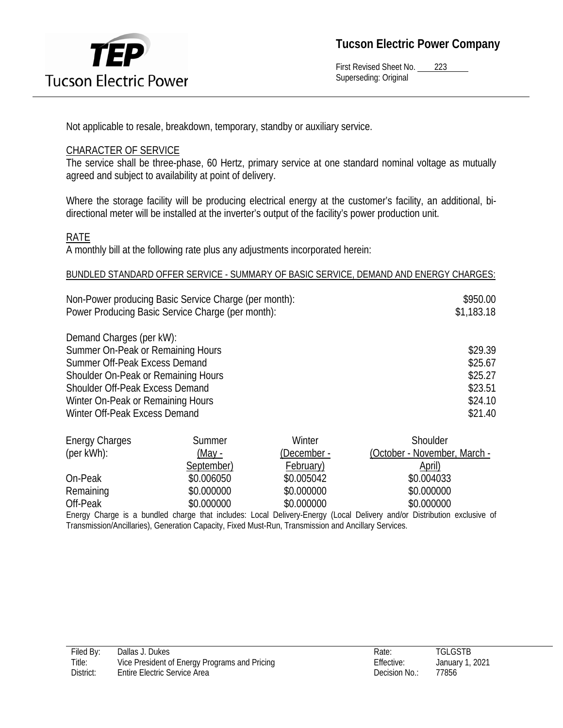

First Revised Sheet No. 223 Superseding: Original

Not applicable to resale, breakdown, temporary, standby or auxiliary service.

#### CHARACTER OF SERVICE

The service shall be three-phase, 60 Hertz, primary service at one standard nominal voltage as mutually agreed and subject to availability at point of delivery.

Where the storage facility will be producing electrical energy at the customer's facility, an additional, bidirectional meter will be installed at the inverter's output of the facility's power production unit.

#### RATE

A monthly bill at the following rate plus any adjustments incorporated herein:

#### BUNDLED STANDARD OFFER SERVICE - SUMMARY OF BASIC SERVICE, DEMAND AND ENERGY CHARGES:

| Non-Power producing Basic Service Charge (per month): | \$950.00   |
|-------------------------------------------------------|------------|
| Power Producing Basic Service Charge (per month):     | \$1,183.18 |

Demand Charges (per kW): Summer On-Peak or Remaining Hours  $$29.39$ Summer Off-Peak Excess Demand \$25.67 Shoulder On-Peak or Remaining Hours \$25.27 Shoulder Off-Peak Excess Demand  $$23.51$ Winter On-Peak or Remaining Hours  $$24.10$ Winter Off-Peak Excess Demand  $$21.40$ 

| <b>Energy Charges</b> | Summer        | Winter      | Shoulder                     |
|-----------------------|---------------|-------------|------------------------------|
| $(\text{per kWh})$ :  | <u>(May -</u> | (December - | (October - November, March - |
|                       | September)    | February)   | April)                       |
| On-Peak               | \$0.006050    | \$0.005042  | \$0.004033                   |
| Remaining             | \$0.000000    | \$0.000000  | \$0.000000                   |
| Off-Peak              | \$0.000000    | \$0.000000  | \$0.000000                   |

Energy Charge is a bundled charge that includes: Local Delivery-Energy (Local Delivery and/or Distribution exclusive of Transmission/Ancillaries), Generation Capacity, Fixed Must-Run, Transmission and Ancillary Services.

| Filed By: | Dallas J. Dukes                               | Rate:         | <b>TGLGSTB</b> |
|-----------|-----------------------------------------------|---------------|----------------|
| Title:    | Vice President of Energy Programs and Pricing | Effective:    | January 1,     |
| District: | <b>Entire Electric Service Area</b>           | Decision No.: | 77856          |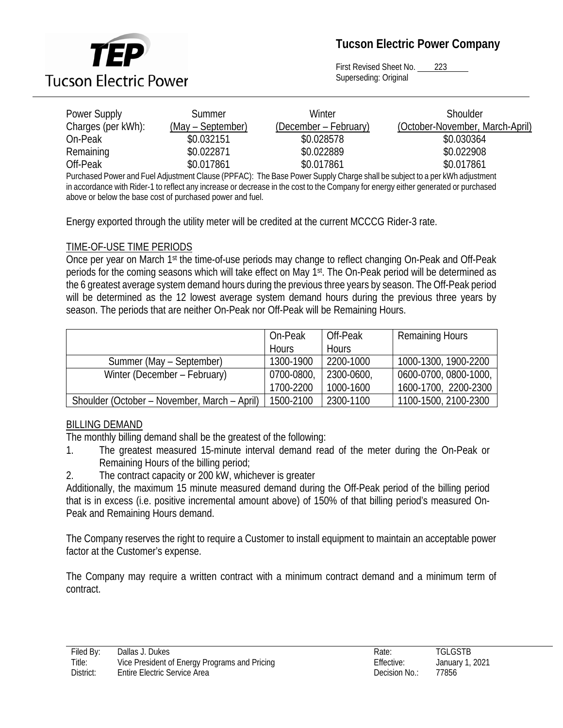

First Revised Sheet No. 223 Superseding: Original

| Power Supply                                                                                                                       | Summer            | Winter                | Shoulder                        |
|------------------------------------------------------------------------------------------------------------------------------------|-------------------|-----------------------|---------------------------------|
| Charges (per kWh):                                                                                                                 | (May – September) | (December – February) | (October-November, March-April) |
| On-Peak                                                                                                                            | \$0.032151        | \$0.028578            | \$0.030364                      |
| Remaining                                                                                                                          | \$0.022871        | \$0.022889            | \$0.022908                      |
| Off-Peak                                                                                                                           | \$0.017861        | \$0.017861            | \$0.017861                      |
| Purchased Power and Fuel Adjustment Clause (PPFAC): The Base Power Supply Charge shall be subject to a per kWh adjustment          |                   |                       |                                 |
| in accordance with Pider 1 to reflect any increase or decrease in the cost to the Company for energy either generated or nurchased |                   |                       |                                 |

in accordance with Rider-1 to reflect any increase or decrease in the cost to the Company for energy either generated or purchased above or below the base cost of purchased power and fuel.

Energy exported through the utility meter will be credited at the current MCCCG Rider-3 rate.

## TIME-OF-USE TIME PERIODS

Once per year on March 1st the time-of-use periods may change to reflect changing On-Peak and Off-Peak periods for the coming seasons which will take effect on May 1<sup>st</sup>. The On-Peak period will be determined as the 6 greatest average system demand hours during the previous three years by season. The Off-Peak period will be determined as the 12 lowest average system demand hours during the previous three years by season. The periods that are neither On-Peak nor Off-Peak will be Remaining Hours.

|                                              | On-Peak      | Off-Peak     | <b>Remaining Hours</b> |
|----------------------------------------------|--------------|--------------|------------------------|
|                                              | <b>Hours</b> | <b>Hours</b> |                        |
| Summer (May – September)                     | 1300-1900    | 2200-1000    | 1000-1300, 1900-2200   |
| Winter (December – February)                 | 0700-0800,   | 2300-0600,   | 0600-0700, 0800-1000,  |
|                                              | 1700-2200    | 1000-1600    | 1600-1700, 2200-2300   |
| Shoulder (October – November, March – April) | 1500-2100    | 2300-1100    | 1100-1500, 2100-2300   |

## BILLING DEMAND

The monthly billing demand shall be the greatest of the following:

- 1. The greatest measured 15-minute interval demand read of the meter during the On-Peak or Remaining Hours of the billing period;
- 2. The contract capacity or 200 kW, whichever is greater

Additionally, the maximum 15 minute measured demand during the Off-Peak period of the billing period that is in excess (i.e. positive incremental amount above) of 150% of that billing period's measured On-Peak and Remaining Hours demand.

The Company reserves the right to require a Customer to install equipment to maintain an acceptable power factor at the Customer's expense.

The Company may require a written contract with a minimum contract demand and a minimum term of contract.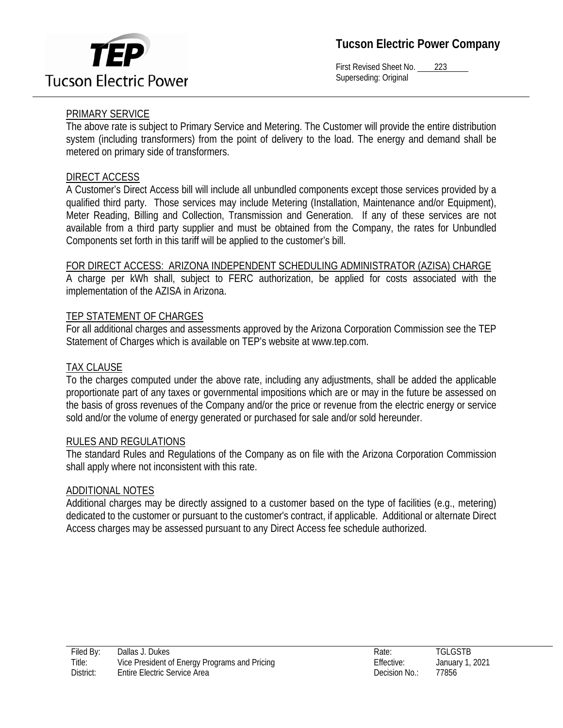

First Revised Sheet No. 223 Superseding: Original

# PRIMARY SERVICE

The above rate is subject to Primary Service and Metering. The Customer will provide the entire distribution system (including transformers) from the point of delivery to the load. The energy and demand shall be metered on primary side of transformers.

#### DIRECT ACCESS

A Customer's Direct Access bill will include all unbundled components except those services provided by a qualified third party. Those services may include Metering (Installation, Maintenance and/or Equipment), Meter Reading, Billing and Collection, Transmission and Generation. If any of these services are not available from a third party supplier and must be obtained from the Company, the rates for Unbundled Components set forth in this tariff will be applied to the customer's bill.

#### FOR DIRECT ACCESS: ARIZONA INDEPENDENT SCHEDULING ADMINISTRATOR (AZISA) CHARGE

A charge per kWh shall, subject to FERC authorization, be applied for costs associated with the implementation of the AZISA in Arizona.

#### TEP STATEMENT OF CHARGES

For all additional charges and assessments approved by the Arizona Corporation Commission see the TEP Statement of Charges which is available on TEP's website at www.tep.com.

#### TAX CLAUSE

To the charges computed under the above rate, including any adjustments, shall be added the applicable proportionate part of any taxes or governmental impositions which are or may in the future be assessed on the basis of gross revenues of the Company and/or the price or revenue from the electric energy or service sold and/or the volume of energy generated or purchased for sale and/or sold hereunder.

#### RULES AND REGULATIONS

The standard Rules and Regulations of the Company as on file with the Arizona Corporation Commission shall apply where not inconsistent with this rate.

#### ADDITIONAL NOTES

Additional charges may be directly assigned to a customer based on the type of facilities (e.g., metering) dedicated to the customer or pursuant to the customer's contract, if applicable. Additional or alternate Direct Access charges may be assessed pursuant to any Direct Access fee schedule authorized.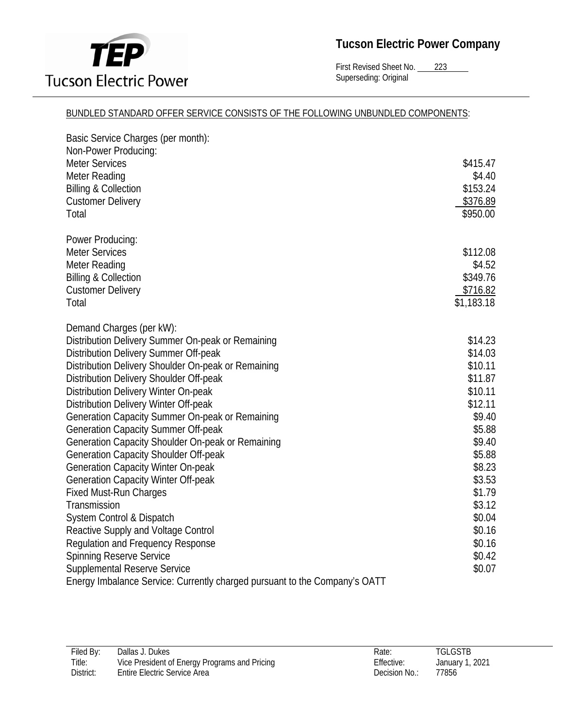

First Revised Sheet No. 223 Superseding: Original

#### BUNDLED STANDARD OFFER SERVICE CONSISTS OF THE FOLLOWING UNBUNDLED COMPONENTS:

| Basic Service Charges (per month):<br>Non-Power Producing:                 |            |
|----------------------------------------------------------------------------|------------|
| <b>Meter Services</b>                                                      | \$415.47   |
| Meter Reading                                                              | \$4.40     |
| <b>Billing &amp; Collection</b>                                            | \$153.24   |
| <b>Customer Delivery</b>                                                   | \$376.89   |
| Total                                                                      | \$950.00   |
| Power Producing:                                                           |            |
| <b>Meter Services</b>                                                      | \$112.08   |
| Meter Reading                                                              | \$4.52     |
| <b>Billing &amp; Collection</b>                                            | \$349.76   |
| <b>Customer Delivery</b>                                                   | \$716.82   |
| Total                                                                      | \$1,183.18 |
| Demand Charges (per kW):                                                   |            |
| Distribution Delivery Summer On-peak or Remaining                          | \$14.23    |
| Distribution Delivery Summer Off-peak                                      | \$14.03    |
| Distribution Delivery Shoulder On-peak or Remaining                        | \$10.11    |
| Distribution Delivery Shoulder Off-peak                                    | \$11.87    |
| Distribution Delivery Winter On-peak                                       | \$10.11    |
| Distribution Delivery Winter Off-peak                                      | \$12.11    |
| Generation Capacity Summer On-peak or Remaining                            | \$9.40     |
| <b>Generation Capacity Summer Off-peak</b>                                 | \$5.88     |
| Generation Capacity Shoulder On-peak or Remaining                          | \$9.40     |
| Generation Capacity Shoulder Off-peak                                      | \$5.88     |
| <b>Generation Capacity Winter On-peak</b>                                  | \$8.23     |
| <b>Generation Capacity Winter Off-peak</b>                                 | \$3.53     |
| <b>Fixed Must-Run Charges</b>                                              | \$1.79     |
| Transmission                                                               | \$3.12     |
| System Control & Dispatch                                                  | \$0.04     |
| Reactive Supply and Voltage Control                                        | \$0.16     |
| <b>Regulation and Frequency Response</b>                                   | \$0.16     |
| <b>Spinning Reserve Service</b>                                            | \$0.42     |
| <b>Supplemental Reserve Service</b>                                        | \$0.07     |
| Energy Imbalance Service: Currently charged pursuant to the Company's OATT |            |

| Filed By: | Dallas J. Dukes                               | Rate:         | <b>TGLGSTB</b>  |
|-----------|-----------------------------------------------|---------------|-----------------|
| Title:    | Vice President of Energy Programs and Pricing | Effective:    | January 1, 2021 |
| District: | Entire Electric Service Area                  | Decision No.: | 77856           |